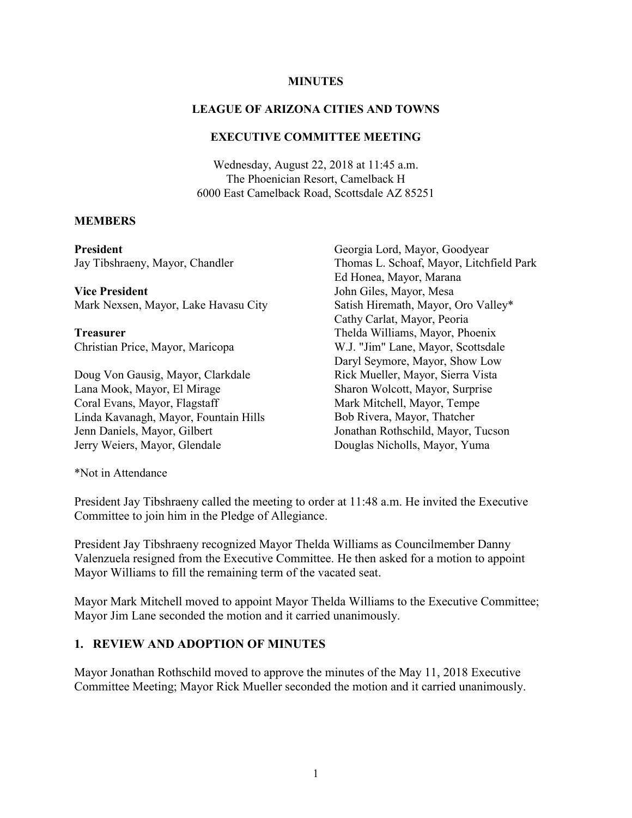#### **MINUTES**

### **LEAGUE OF ARIZONA CITIES AND TOWNS**

#### **EXECUTIVE COMMITTEE MEETING**

Wednesday, August 22, 2018 at 11:45 a.m. The Phoenician Resort, Camelback H 6000 East Camelback Road, Scottsdale AZ 85251

### **MEMBERS**

**President** Jay Tibshraeny, Mayor, Chandler

**Vice President** Mark Nexsen, Mayor, Lake Havasu City

**Treasurer** Christian Price, Mayor, Maricopa

Doug Von Gausig, Mayor, Clarkdale Lana Mook, Mayor, El Mirage Coral Evans, Mayor, Flagstaff Linda Kavanagh, Mayor, Fountain Hills Jenn Daniels, Mayor, Gilbert Jerry Weiers, Mayor, Glendale

Georgia Lord, Mayor, Goodyear Thomas L. Schoaf, Mayor, Litchfield Park Ed Honea, Mayor, Marana John Giles, Mayor, Mesa Satish Hiremath, Mayor, Oro Valley\* Cathy Carlat, Mayor, Peoria Thelda Williams, Mayor, Phoenix W.J. "Jim" Lane, Mayor, Scottsdale Daryl Seymore, Mayor, Show Low Rick Mueller, Mayor, Sierra Vista Sharon Wolcott, Mayor, Surprise Mark Mitchell, Mayor, Tempe Bob Rivera, Mayor, Thatcher Jonathan Rothschild, Mayor, Tucson Douglas Nicholls, Mayor, Yuma

\*Not in Attendance

President Jay Tibshraeny called the meeting to order at 11:48 a.m. He invited the Executive Committee to join him in the Pledge of Allegiance.

President Jay Tibshraeny recognized Mayor Thelda Williams as Councilmember Danny Valenzuela resigned from the Executive Committee. He then asked for a motion to appoint Mayor Williams to fill the remaining term of the vacated seat.

Mayor Mark Mitchell moved to appoint Mayor Thelda Williams to the Executive Committee; Mayor Jim Lane seconded the motion and it carried unanimously.

### **1. REVIEW AND ADOPTION OF MINUTES**

Mayor Jonathan Rothschild moved to approve the minutes of the May 11, 2018 Executive Committee Meeting; Mayor Rick Mueller seconded the motion and it carried unanimously.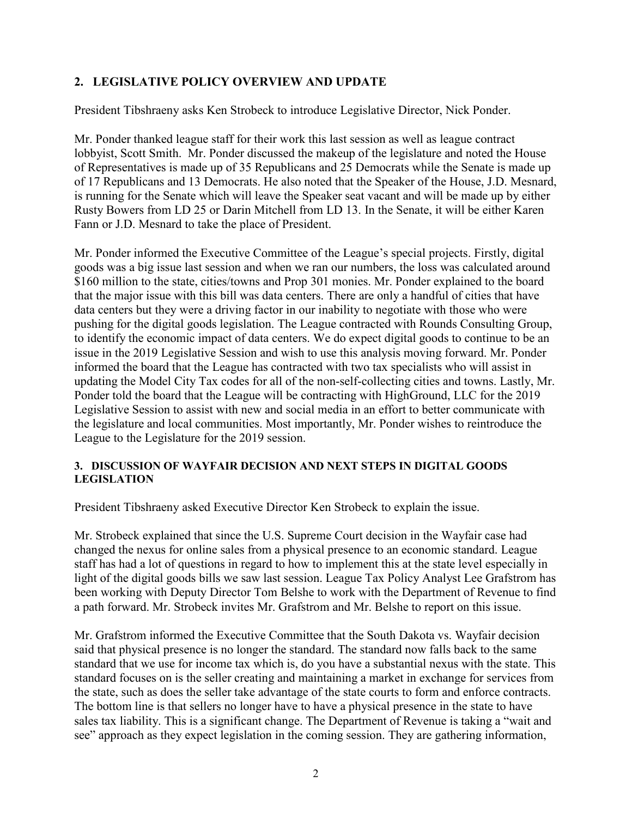# **2. LEGISLATIVE POLICY OVERVIEW AND UPDATE**

President Tibshraeny asks Ken Strobeck to introduce Legislative Director, Nick Ponder.

Mr. Ponder thanked league staff for their work this last session as well as league contract lobbyist, Scott Smith. Mr. Ponder discussed the makeup of the legislature and noted the House of Representatives is made up of 35 Republicans and 25 Democrats while the Senate is made up of 17 Republicans and 13 Democrats. He also noted that the Speaker of the House, J.D. Mesnard, is running for the Senate which will leave the Speaker seat vacant and will be made up by either Rusty Bowers from LD 25 or Darin Mitchell from LD 13. In the Senate, it will be either Karen Fann or J.D. Mesnard to take the place of President.

Mr. Ponder informed the Executive Committee of the League's special projects. Firstly, digital goods was a big issue last session and when we ran our numbers, the loss was calculated around \$160 million to the state, cities/towns and Prop 301 monies. Mr. Ponder explained to the board that the major issue with this bill was data centers. There are only a handful of cities that have data centers but they were a driving factor in our inability to negotiate with those who were pushing for the digital goods legislation. The League contracted with Rounds Consulting Group, to identify the economic impact of data centers. We do expect digital goods to continue to be an issue in the 2019 Legislative Session and wish to use this analysis moving forward. Mr. Ponder informed the board that the League has contracted with two tax specialists who will assist in updating the Model City Tax codes for all of the non-self-collecting cities and towns. Lastly, Mr. Ponder told the board that the League will be contracting with HighGround, LLC for the 2019 Legislative Session to assist with new and social media in an effort to better communicate with the legislature and local communities. Most importantly, Mr. Ponder wishes to reintroduce the League to the Legislature for the 2019 session.

### **3. DISCUSSION OF WAYFAIR DECISION AND NEXT STEPS IN DIGITAL GOODS LEGISLATION**

President Tibshraeny asked Executive Director Ken Strobeck to explain the issue.

Mr. Strobeck explained that since the U.S. Supreme Court decision in the Wayfair case had changed the nexus for online sales from a physical presence to an economic standard. League staff has had a lot of questions in regard to how to implement this at the state level especially in light of the digital goods bills we saw last session. League Tax Policy Analyst Lee Grafstrom has been working with Deputy Director Tom Belshe to work with the Department of Revenue to find a path forward. Mr. Strobeck invites Mr. Grafstrom and Mr. Belshe to report on this issue.

Mr. Grafstrom informed the Executive Committee that the South Dakota vs. Wayfair decision said that physical presence is no longer the standard. The standard now falls back to the same standard that we use for income tax which is, do you have a substantial nexus with the state. This standard focuses on is the seller creating and maintaining a market in exchange for services from the state, such as does the seller take advantage of the state courts to form and enforce contracts. The bottom line is that sellers no longer have to have a physical presence in the state to have sales tax liability. This is a significant change. The Department of Revenue is taking a "wait and see" approach as they expect legislation in the coming session. They are gathering information,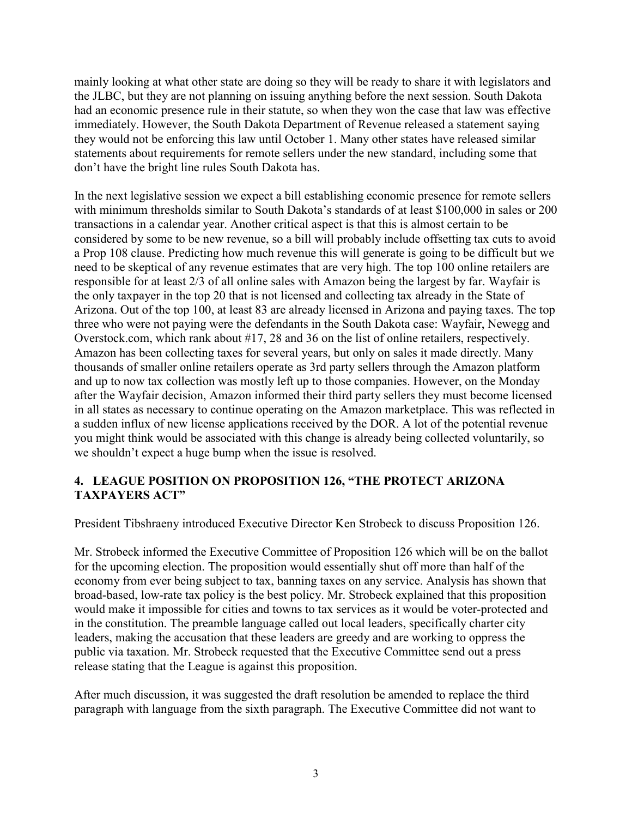mainly looking at what other state are doing so they will be ready to share it with legislators and the JLBC, but they are not planning on issuing anything before the next session. South Dakota had an economic presence rule in their statute, so when they won the case that law was effective immediately. However, the South Dakota Department of Revenue released a statement saying they would not be enforcing this law until October 1. Many other states have released similar statements about requirements for remote sellers under the new standard, including some that don't have the bright line rules South Dakota has.

In the next legislative session we expect a bill establishing economic presence for remote sellers with minimum thresholds similar to South Dakota's standards of at least \$100,000 in sales or 200 transactions in a calendar year. Another critical aspect is that this is almost certain to be considered by some to be new revenue, so a bill will probably include offsetting tax cuts to avoid a Prop 108 clause. Predicting how much revenue this will generate is going to be difficult but we need to be skeptical of any revenue estimates that are very high. The top 100 online retailers are responsible for at least 2/3 of all online sales with Amazon being the largest by far. Wayfair is the only taxpayer in the top 20 that is not licensed and collecting tax already in the State of Arizona. Out of the top 100, at least 83 are already licensed in Arizona and paying taxes. The top three who were not paying were the defendants in the South Dakota case: Wayfair, Newegg and Overstock.com, which rank about #17, 28 and 36 on the list of online retailers, respectively. Amazon has been collecting taxes for several years, but only on sales it made directly. Many thousands of smaller online retailers operate as 3rd party sellers through the Amazon platform and up to now tax collection was mostly left up to those companies. However, on the Monday after the Wayfair decision, Amazon informed their third party sellers they must become licensed in all states as necessary to continue operating on the Amazon marketplace. This was reflected in a sudden influx of new license applications received by the DOR. A lot of the potential revenue you might think would be associated with this change is already being collected voluntarily, so we shouldn't expect a huge bump when the issue is resolved.

### **4. LEAGUE POSITION ON PROPOSITION 126, "THE PROTECT ARIZONA TAXPAYERS ACT"**

President Tibshraeny introduced Executive Director Ken Strobeck to discuss Proposition 126.

Mr. Strobeck informed the Executive Committee of Proposition 126 which will be on the ballot for the upcoming election. The proposition would essentially shut off more than half of the economy from ever being subject to tax, banning taxes on any service. Analysis has shown that broad-based, low-rate tax policy is the best policy. Mr. Strobeck explained that this proposition would make it impossible for cities and towns to tax services as it would be voter-protected and in the constitution. The preamble language called out local leaders, specifically charter city leaders, making the accusation that these leaders are greedy and are working to oppress the public via taxation. Mr. Strobeck requested that the Executive Committee send out a press release stating that the League is against this proposition.

After much discussion, it was suggested the draft resolution be amended to replace the third paragraph with language from the sixth paragraph. The Executive Committee did not want to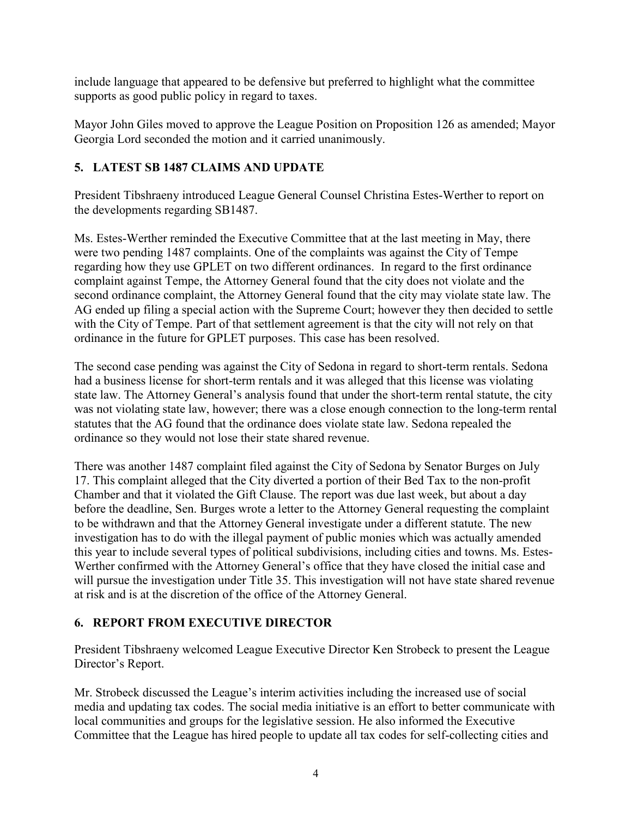include language that appeared to be defensive but preferred to highlight what the committee supports as good public policy in regard to taxes.

Mayor John Giles moved to approve the League Position on Proposition 126 as amended; Mayor Georgia Lord seconded the motion and it carried unanimously.

# **5. LATEST SB 1487 CLAIMS AND UPDATE**

President Tibshraeny introduced League General Counsel Christina Estes-Werther to report on the developments regarding SB1487.

Ms. Estes-Werther reminded the Executive Committee that at the last meeting in May, there were two pending 1487 complaints. One of the complaints was against the City of Tempe regarding how they use GPLET on two different ordinances. In regard to the first ordinance complaint against Tempe, the Attorney General found that the city does not violate and the second ordinance complaint, the Attorney General found that the city may violate state law. The AG ended up filing a special action with the Supreme Court; however they then decided to settle with the City of Tempe. Part of that settlement agreement is that the city will not rely on that ordinance in the future for GPLET purposes. This case has been resolved.

The second case pending was against the City of Sedona in regard to short-term rentals. Sedona had a business license for short-term rentals and it was alleged that this license was violating state law. The Attorney General's analysis found that under the short-term rental statute, the city was not violating state law, however; there was a close enough connection to the long-term rental statutes that the AG found that the ordinance does violate state law. Sedona repealed the ordinance so they would not lose their state shared revenue.

There was another 1487 complaint filed against the City of Sedona by Senator Burges on July 17. This complaint alleged that the City diverted a portion of their Bed Tax to the non-profit Chamber and that it violated the Gift Clause. The report was due last week, but about a day before the deadline, Sen. Burges wrote a letter to the Attorney General requesting the complaint to be withdrawn and that the Attorney General investigate under a different statute. The new investigation has to do with the illegal payment of public monies which was actually amended this year to include several types of political subdivisions, including cities and towns. Ms. Estes-Werther confirmed with the Attorney General's office that they have closed the initial case and will pursue the investigation under Title 35. This investigation will not have state shared revenue at risk and is at the discretion of the office of the Attorney General.

# **6. REPORT FROM EXECUTIVE DIRECTOR**

President Tibshraeny welcomed League Executive Director Ken Strobeck to present the League Director's Report.

Mr. Strobeck discussed the League's interim activities including the increased use of social media and updating tax codes. The social media initiative is an effort to better communicate with local communities and groups for the legislative session. He also informed the Executive Committee that the League has hired people to update all tax codes for self-collecting cities and